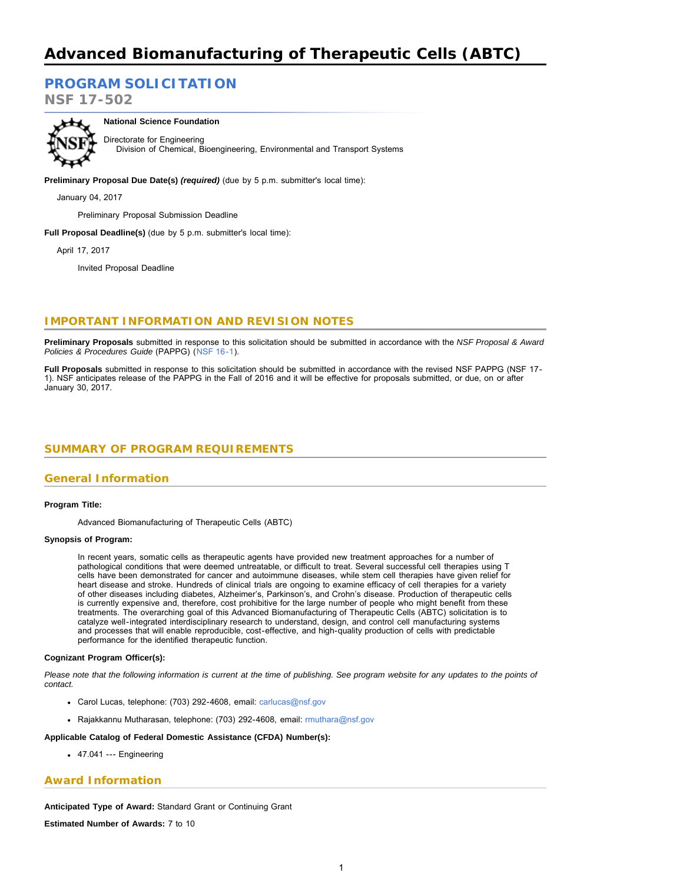# **Advanced Biomanufacturing of Therapeutic Cells (ABTC)**

# **[PROGRAM SOLICITATION](#page-2-0)**

**NSF 17-502**



**National Science Foundation**

Directorate for Engineering Division of Chemical, Bioengineering, Environmental and Transport Systems

**Preliminary Proposal Due Date(s)** *(required)* (due by 5 p.m. submitter's local time):

January 04, 2017

Preliminary Proposal Submission Deadline

**Full Proposal Deadline(s)** (due by 5 p.m. submitter's local time):

April 17, 2017

Invited Proposal Deadline

### **IMPORTANT INFORMATION AND REVISION NOTES**

**Preliminary Proposals** submitted in response to this solicitation should be submitted in accordance with the *NSF Proposal & Award Policies & Procedures Guide* (PAPPG) ([NSF 16-1](http://www.nsf.gov/publications/pub_summ.jsp?ods_key=nsf16001)).

<span id="page-0-0"></span>**Full Proposals** submitted in response to this solicitation should be submitted in accordance with the revised NSF PAPPG (NSF 17- 1). NSF anticipates release of the PAPPG in the Fall of 2016 and it will be effective for proposals submitted, or due, on or after January 30, 2017.

### **SUMMARY OF PROGRAM REQUIREMENTS**

### **General Information**

#### **Program Title:**

Advanced Biomanufacturing of Therapeutic Cells (ABTC)

#### **Synopsis of Program:**

In recent years, somatic cells as therapeutic agents have provided new treatment approaches for a number of pathological conditions that were deemed untreatable, or difficult to treat. Several successful cell therapies using T cells have been demonstrated for cancer and autoimmune diseases, while stem cell therapies have given relief for heart disease and stroke. Hundreds of clinical trials are ongoing to examine efficacy of cell therapies for a variety of other diseases including diabetes, Alzheimer's, Parkinson's, and Crohn's disease. Production of therapeutic cells is currently expensive and, therefore, cost prohibitive for the large number of people who might benefit from these treatments. The overarching goal of this Advanced Biomanufacturing of Therapeutic Cells (ABTC) solicitation is to catalyze well-integrated interdisciplinary research to understand, design, and control cell manufacturing systems and processes that will enable reproducible, cost-effective, and high-quality production of cells with predictable performance for the identified therapeutic function.

#### **Cognizant Program Officer(s):**

*Please note that the following information is current at the time of publishing. See program website for any updates to the points of contact.*

- Carol Lucas, telephone: (703) 292-4608, email: [carlucas@nsf.gov](mailto:carlucas@nsf.gov)
- Rajakkannu Mutharasan, telephone: (703) 292-4608, email: [rmuthara@nsf.gov](mailto:rmuthara@nsf.gov)

#### **Applicable Catalog of Federal Domestic Assistance (CFDA) Number(s):**

47.041 --- Engineering

#### **Award Information**

**Anticipated Type of Award:** Standard Grant or Continuing Grant

**Estimated Number of Awards:** 7 to 10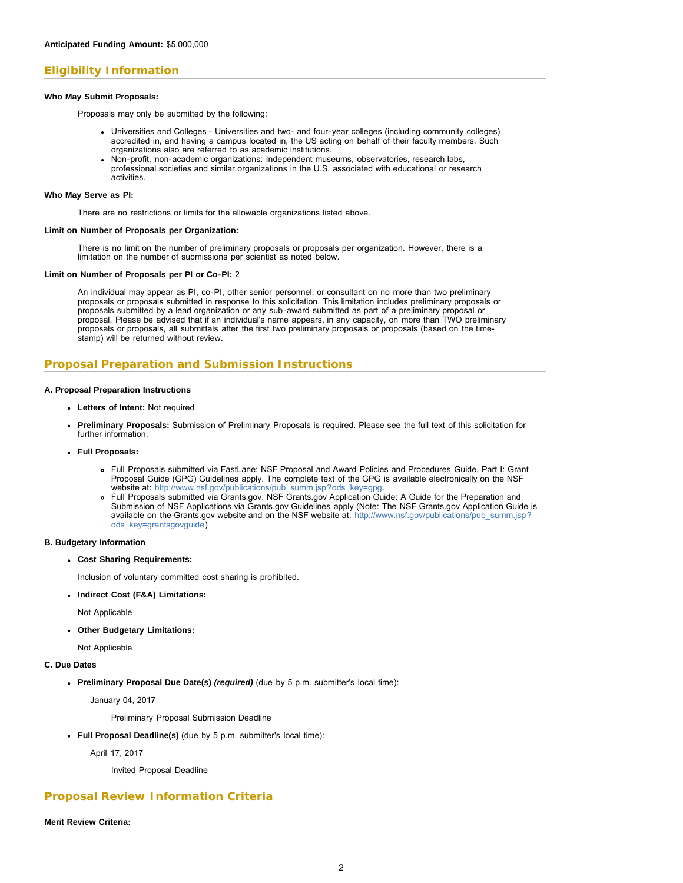### **Eligibility Information**

#### **Who May Submit Proposals:**

Proposals may only be submitted by the following:

- Universities and Colleges Universities and two- and four-year colleges (including community colleges) accredited in, and having a campus located in, the US acting on behalf of their faculty members. Such organizations also are referred to as academic institutions.
- Non-profit, non-academic organizations: Independent museums, observatories, research labs, professional societies and similar organizations in the U.S. associated with educational or research activities.

#### **Who May Serve as PI:**

There are no restrictions or limits for the allowable organizations listed above.

#### **Limit on Number of Proposals per Organization:**

There is no limit on the number of preliminary proposals or proposals per organization. However, there is a limitation on the number of submissions per scientist as noted below.

#### **Limit on Number of Proposals per PI or Co-PI:** 2

An individual may appear as PI, co-PI, other senior personnel, or consultant on no more than two preliminary proposals or proposals submitted in response to this solicitation. This limitation includes preliminary proposals or proposals submitted by a lead organization or any sub-award submitted as part of a preliminary proposal or proposal. Please be advised that if an individual's name appears, in any capacity, on more than TWO preliminary proposals or proposals, all submittals after the first two preliminary proposals or proposals (based on the timestamp) will be returned without review.

### **Proposal Preparation and Submission Instructions**

#### **A. Proposal Preparation Instructions**

- **Letters of Intent:** Not required
- **Preliminary Proposals:** Submission of Preliminary Proposals is required. Please see the full text of this solicitation for further information.
- **Full Proposals:**
	- Full Proposals submitted via FastLane: NSF Proposal and Award Policies and Procedures Guide, Part I: Grant Proposal Guide (GPG) Guidelines apply. The complete text of the GPG is available electronically on the NSF website at: [http://www.nsf.gov/publications/pub\\_summ.jsp?ods\\_key=gpg.](http://www.nsf.gov/publications/pub_summ.jsp?ods_key=gpg)
	- Full Proposals submitted via Grants.gov: NSF Grants.gov Application Guide: A Guide for the Preparation and Submission of NSF Applications via Grants.gov Guidelines apply (Note: The NSF Grants.gov Application Guide is available on the Grants.gov website and on the NSF website at: [http://www.nsf.gov/publications/pub\\_summ.jsp?](http://www.nsf.gov/publications/pub_summ.jsp?ods_key=grantsgovguide) [ods\\_key=grantsgovguide\)](http://www.nsf.gov/publications/pub_summ.jsp?ods_key=grantsgovguide)

#### **B. Budgetary Information**

**Cost Sharing Requirements:**

Inclusion of voluntary committed cost sharing is prohibited.

**Indirect Cost (F&A) Limitations:**

Not Applicable

**Other Budgetary Limitations:**

Not Applicable

#### **C. Due Dates**

**Preliminary Proposal Due Date(s)** *(required)* (due by 5 p.m. submitter's local time):

January 04, 2017

Preliminary Proposal Submission Deadline

**Full Proposal Deadline(s)** (due by 5 p.m. submitter's local time):

April 17, 2017

Invited Proposal Deadline

### **Proposal Review Information Criteria**

**Merit Review Criteria:**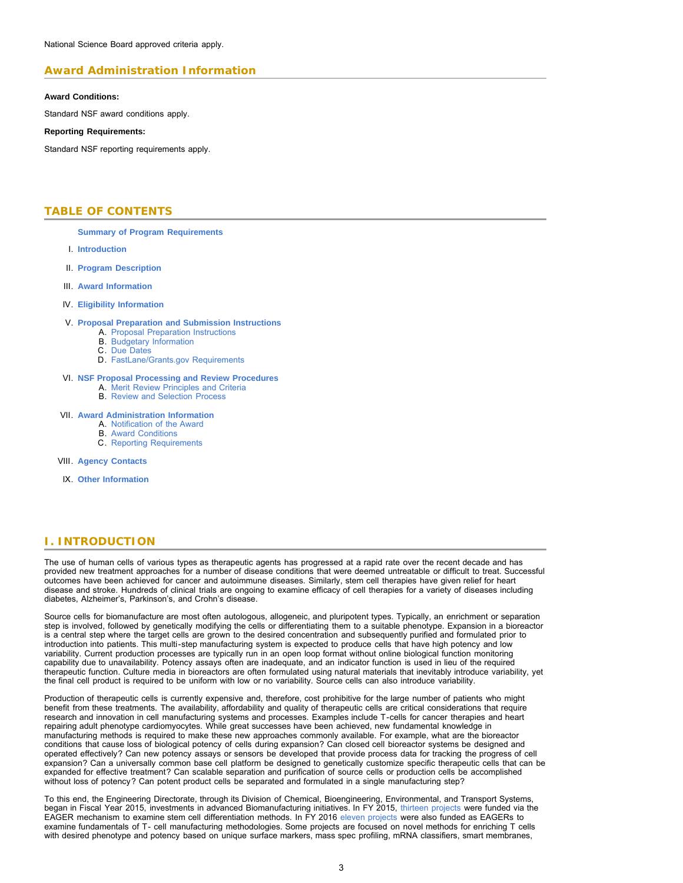### **Award Administration Information**

#### **Award Conditions:**

Standard NSF award conditions apply.

#### **Reporting Requirements:**

<span id="page-2-0"></span>Standard NSF reporting requirements apply.

### **TABLE OF CONTENTS**

**[Summary of Program Requirements](#page-0-0)**

- I. **[Introduction](#page-2-1)**
- II. **[Program Description](#page-3-0)**
- III. **[Award Information](#page-3-1)**
- IV. **[Eligibility Information](#page-3-2)**

#### V. **[Proposal Preparation and Submission Instructions](#page-4-0)**

- A. [Proposal Preparation Instructions](#page-4-0)
- B. [Budgetary Information](#page-4-1)
- C. [Due Dates](#page-4-2)
- D. [FastLane/Grants.gov Requirements](#page-5-0)

#### VI. **[NSF Proposal Processing and Review Procedures](#page-5-1)**

- A. [Merit Review Principles and Criteria](#page-5-2)
- B. [Review and Selection Process](#page-6-0)

#### VII. **[Award Administration Information](#page-7-0)**

- A. [Notification of the Award](#page-7-1)
- B. [Award Conditions](#page-7-2)
- C. [Reporting Requirements](#page-7-3)

VIII. **[Agency Contacts](#page-7-4)**

IX. **[Other Information](#page-8-0)**

### <span id="page-2-1"></span>**I. INTRODUCTION**

The use of human cells of various types as therapeutic agents has progressed at a rapid rate over the recent decade and has provided new treatment approaches for a number of disease conditions that were deemed untreatable or difficult to treat. Successful outcomes have been achieved for cancer and autoimmune diseases. Similarly, stem cell therapies have given relief for heart disease and stroke. Hundreds of clinical trials are ongoing to examine efficacy of cell therapies for a variety of diseases including diabetes, Alzheimer's, Parkinson's, and Crohn's disease.

Source cells for biomanufacture are most often autologous, allogeneic, and pluripotent types. Typically, an enrichment or separation step is involved, followed by genetically modifying the cells or differentiating them to a suitable phenotype. Expansion in a bioreactor is a central step where the target cells are grown to the desired concentration and subsequently purified and formulated prior to introduction into patients. This multi-step manufacturing system is expected to produce cells that have high potency and low variability. Current production processes are typically run in an open loop format without online biological function monitoring capability due to unavailability. Potency assays often are inadequate, and an indicator function is used in lieu of the required therapeutic function. Culture media in bioreactors are often formulated using natural materials that inevitably introduce variability, yet the final cell product is required to be uniform with low or no variability. Source cells can also introduce variability.

Production of therapeutic cells is currently expensive and, therefore, cost prohibitive for the large number of patients who might benefit from these treatments. The availability, affordability and quality of therapeutic cells are critical considerations that require research and innovation in cell manufacturing systems and processes. Examples include T-cells for cancer therapies and heart repairing adult phenotype cardiomyocytes. While great successes have been achieved, new fundamental knowledge in manufacturing methods is required to make these new approaches commonly available. For example, what are the bioreactor conditions that cause loss of biological potency of cells during expansion? Can closed cell bioreactor systems be designed and operated effectively? Can new potency assays or sensors be developed that provide process data for tracking the progress of cell expansion? Can a universally common base cell platform be designed to genetically customize specific therapeutic cells that can be expanded for effective treatment? Can scalable separation and purification of source cells or production cells be accomplished without loss of potency? Can potent product cells be separated and formulated in a single manufacturing step?

To this end, the Engineering Directorate, through its Division of Chemical, Bioengineering, Environmental, and Transport Systems, began in Fiscal Year 2015, investments in advanced Biomanufacturing initiatives. In FY 2015, [thirteen projects](https://www.nsf.gov/awardsearch/advancedSearchResult?PIId=&PIFirstName=&PILastName=&PIOrganization=&PIState=&PIZip=&PICountry=&ProgOrganization=07020000&ProgEleCode=5345&BooleanElement=All&ProgRefCode=7916&BooleanRef=All&Program=&ProgOfficer=&Keyword=&AwardNumberOperator=Range&AwardNumberFrom=1540000&AwardNumberTo=1549999&AwardAmount=&AwardInstrument=&ActiveAwards=true&OriginalAwardDateOperator=&StartDateOperator=&ExpDateOperator=) were funded via the EAGER mechanism to examine stem cell differentiation methods. In FY 2016 [eleven projects](https://www.nsf.gov/awardsearch/advancedSearchResult?PIId=&PIFirstName=&PILastName=&PIOrganization=&PIState=&PIZip=&PICountry=&ProgOrganization=07020000&ProgEleCode=5345&BooleanElement=All&ProgRefCode=7916&BooleanRef=All&Program=&ProgOfficer=&Keyword=&AwardNumberOperator=Range&AwardNumberFrom=1640000&AwardNumberTo=1649999&AwardAmount=&AwardInstrument=&ActiveAwards=true&OriginalAwardDateOperator=&StartDateOperator=&ExpDateOperator=) were also funded as EAGERs to examine fundamentals of T- cell manufacturing methodologies. Some projects are focused on novel methods for enriching T cells with desired phenotype and potency based on unique surface markers, mass spec profiling, mRNA classifiers, smart membranes,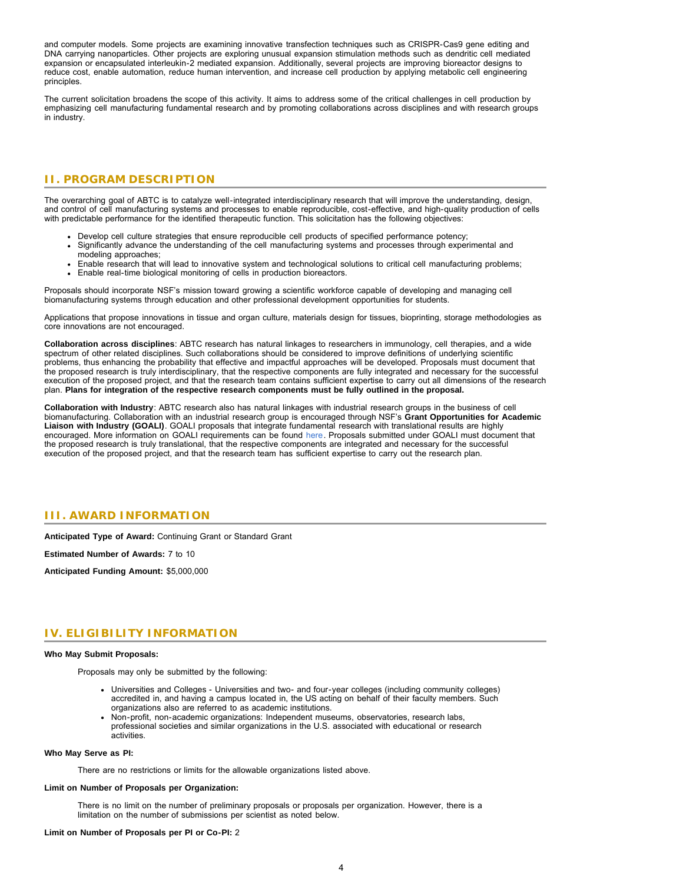and computer models. Some projects are examining innovative transfection techniques such as CRISPR-Cas9 gene editing and DNA carrying nanoparticles. Other projects are exploring unusual expansion stimulation methods such as dendritic cell mediated expansion or encapsulated interleukin-2 mediated expansion. Additionally, several projects are improving bioreactor designs to reduce cost, enable automation, reduce human intervention, and increase cell production by applying metabolic cell engineering principles.

<span id="page-3-0"></span>The current solicitation broadens the scope of this activity. It aims to address some of the critical challenges in cell production by emphasizing cell manufacturing fundamental research and by promoting collaborations across disciplines and with research groups in industry.

### **II. PROGRAM DESCRIPTION**

The overarching goal of ABTC is to catalyze well-integrated interdisciplinary research that will improve the understanding, design, and control of cell manufacturing systems and processes to enable reproducible, cost-effective, and high-quality production of cells with predictable performance for the identified therapeutic function. This solicitation has the following objectives:

- Develop cell culture strategies that ensure reproducible cell products of specified performance potency;
- Significantly advance the understanding of the cell manufacturing systems and processes through experimental and modeling approaches;
- Enable research that will lead to innovative system and technological solutions to critical cell manufacturing problems; Enable real-time biological monitoring of cells in production bioreactors.

Proposals should incorporate NSF's mission toward growing a scientific workforce capable of developing and managing cell biomanufacturing systems through education and other professional development opportunities for students.

Applications that propose innovations in tissue and organ culture, materials design for tissues, bioprinting, storage methodologies as core innovations are not encouraged.

**Collaboration across disciplines**: ABTC research has natural linkages to researchers in immunology, cell therapies, and a wide spectrum of other related disciplines. Such collaborations should be considered to improve definitions of underlying scientific problems, thus enhancing the probability that effective and impactful approaches will be developed. Proposals must document that the proposed research is truly interdisciplinary, that the respective components are fully integrated and necessary for the successful execution of the proposed project, and that the research team contains sufficient expertise to carry out all dimensions of the research plan. **Plans for integration of the respective research components must be fully outlined in the proposal.**

**Collaboration with Industry**: ABTC research also has natural linkages with industrial research groups in the business of cell biomanufacturing. Collaboration with an industrial research group is encouraged through NSF's **Grant Opportunities for Academic Liaison with Industry (GOALI)**. GOALI proposals that integrate fundamental research with translational results are highly encouraged. More information on GOALI requirements can be found [here.](https://www.nsf.gov/pubs/2016/nsf16099/nsf16099.jsp) Proposals submitted under GOALI must document that the proposed research is truly translational, that the respective components are integrated and necessary for the successful execution of the proposed project, and that the research team has sufficient expertise to carry out the research plan.

### <span id="page-3-1"></span>**III. AWARD INFORMATION**

**Anticipated Type of Award:** Continuing Grant or Standard Grant

**Estimated Number of Awards:** 7 to 10

<span id="page-3-2"></span>**Anticipated Funding Amount:** \$5,000,000

### **IV. ELIGIBILITY INFORMATION**

#### **Who May Submit Proposals:**

Proposals may only be submitted by the following:

- Universities and Colleges Universities and two- and four-year colleges (including community colleges) accredited in, and having a campus located in, the US acting on behalf of their faculty members. Such organizations also are referred to as academic institutions.
- Non-profit, non-academic organizations: Independent museums, observatories, research labs, professional societies and similar organizations in the U.S. associated with educational or research activities.

#### **Who May Serve as PI:**

There are no restrictions or limits for the allowable organizations listed above.

#### **Limit on Number of Proposals per Organization:**

There is no limit on the number of preliminary proposals or proposals per organization. However, there is a limitation on the number of submissions per scientist as noted below.

#### **Limit on Number of Proposals per PI or Co-PI:** 2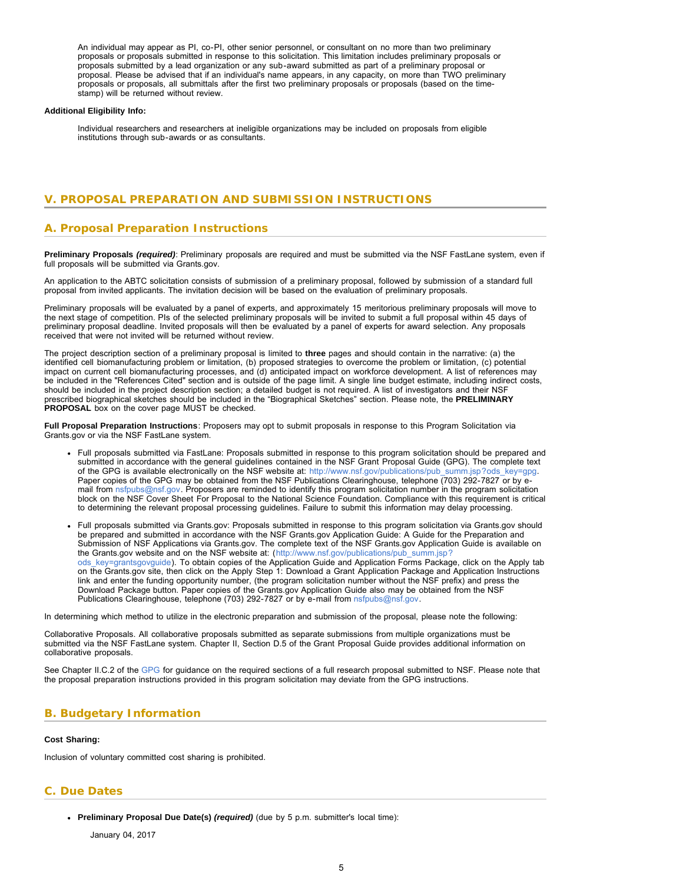<span id="page-4-2"></span>An individual may appear as PI, co-PI, other senior personnel, or consultant on no more than two preliminary proposals or proposals submitted in response to this solicitation. This limitation includes preliminary proposals or proposals submitted by a lead organization or any sub-award submitted as part of a preliminary proposal or proposal. Please be advised that if an individual's name appears, in any capacity, on more than TWO preliminary proposals or proposals, all submittals after the first two preliminary proposals or proposals (based on the timestamp) will be returned without review.

#### **Additional Eligibility Info:**

Individual researchers and researchers at ineligible organizations may be included on proposals from eligible institutions through sub-awards or as consultants.

### <span id="page-4-0"></span>**V. PROPOSAL PREPARATION AND SUBMISSION INSTRUCTIONS**

### **A. Proposal Preparation Instructions**

**Preliminary Proposals** *(required)*: Preliminary proposals are required and must be submitted via the NSF FastLane system, even if full proposals will be submitted via Grants.gov.

An application to the ABTC solicitation consists of submission of a preliminary proposal, followed by submission of a standard full proposal from invited applicants. The invitation decision will be based on the evaluation of preliminary proposals.

Preliminary proposals will be evaluated by a panel of experts, and approximately 15 meritorious preliminary proposals will move to the next stage of competition. PIs of the selected preliminary proposals will be invited to submit a full proposal within 45 days of preliminary proposal deadline. Invited proposals will then be evaluated by a panel of experts for award selection. Any proposals received that were not invited will be returned without review.

The project description section of a preliminary proposal is limited to **three** pages and should contain in the narrative: (a) the identified cell biomanufacturing problem or limitation, (b) proposed strategies to overcome the problem or limitation, (c) potential impact on current cell biomanufacturing processes, and (d) anticipated impact on workforce development. A list of references may be included in the "References Cited" section and is outside of the page limit. A single line budget estimate, including indirect costs, should be included in the project description section; a detailed budget is not required. A list of investigators and their NSF prescribed biographical sketches should be included in the "Biographical Sketches" section. Please note, the **PRELIMINARY PROPOSAL** box on the cover page MUST be checked.

**Full Proposal Preparation Instructions**: Proposers may opt to submit proposals in response to this Program Solicitation via Grants.gov or via the NSF FastLane system.

- Full proposals submitted via FastLane: Proposals submitted in response to this program solicitation should be prepared and submitted in accordance with the general guidelines contained in the NSF Grant Proposal Guide (GPG). The complete text of the GPG is available electronically on the NSF website at: [http://www.nsf.gov/publications/pub\\_summ.jsp?ods\\_key=gpg.](http://www.nsf.gov/publications/pub_summ.jsp?ods_key=gpg) Paper copies of the GPG may be obtained from the NSF Publications Clearinghouse, telephone (703) 292-7827 or by email from [nsfpubs@nsf.gov.](mailto:nsfpubs@nsf.gov) Proposers are reminded to identify this program solicitation number in the program solicitation block on the NSF Cover Sheet For Proposal to the National Science Foundation. Compliance with this requirement is critical to determining the relevant proposal processing guidelines. Failure to submit this information may delay processing.
- Full proposals submitted via Grants.gov: Proposals submitted in response to this program solicitation via Grants.gov should be prepared and submitted in accordance with the NSF Grants.gov Application Guide: A Guide for the Preparation and Submission of NSF Applications via Grants.gov. The complete text of the NSF Grants.gov Application Guide is available on the Grants.gov website and on the NSF website at: ([http://www.nsf.gov/publications/pub\\_summ.jsp?](http://www.nsf.gov/publications/pub_summ.jsp?ods_key=grantsgovguide) ods key=grantsgovguide). To obtain copies of the Application Guide and Application Forms Package, click on the Apply tab on the Grants.gov site, then click on the Apply Step 1: Download a Grant Application Package and Application Instructions link and enter the funding opportunity number, (the program solicitation number without the NSF prefix) and press the Download Package button. Paper copies of the Grants.gov Application Guide also may be obtained from the NSF Publications Clearinghouse, telephone (703) 292-7827 or by e-mail from [nsfpubs@nsf.gov.](mailto:nsfpubs@nsf.gov)

In determining which method to utilize in the electronic preparation and submission of the proposal, please note the following:

Collaborative Proposals. All collaborative proposals submitted as separate submissions from multiple organizations must be submitted via the NSF FastLane system. Chapter II, Section D.5 of the Grant Proposal Guide provides additional information on collaborative proposals.

See Chapter II.C.2 of the [GPG](http://www.nsf.gov/publications/pub_summ.jsp?ods_key=gpg) for guidance on the required sections of a full research proposal submitted to NSF. Please note that the proposal preparation instructions provided in this program solicitation may deviate from the GPG instructions.

### <span id="page-4-1"></span>**B. Budgetary Information**

#### **Cost Sharing:**

Inclusion of voluntary committed cost sharing is prohibited.

### **C. Due Dates**

**Preliminary Proposal Due Date(s)** *(required)* (due by 5 p.m. submitter's local time):

January 04, 2017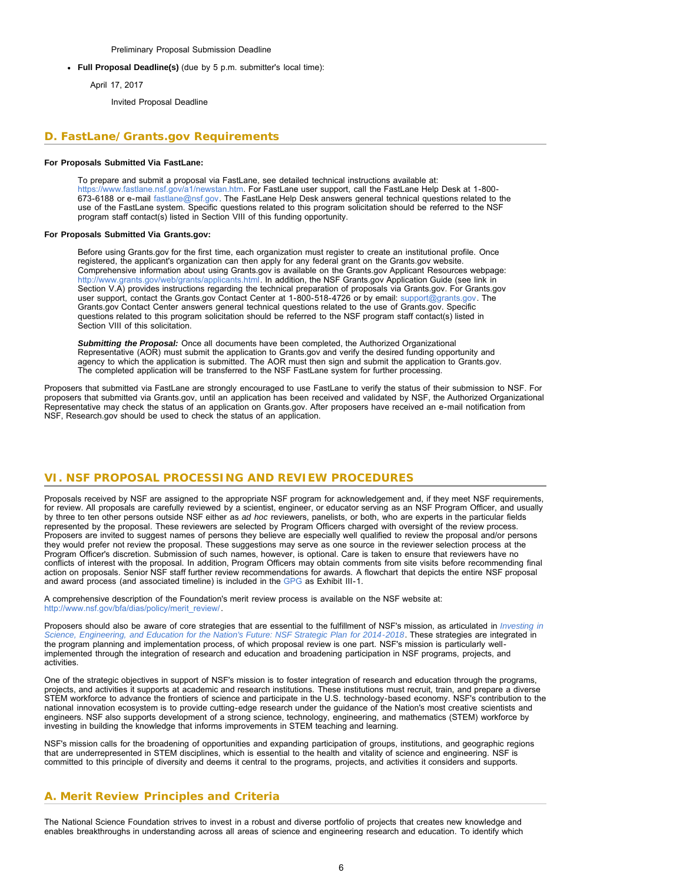Preliminary Proposal Submission Deadline

**Full Proposal Deadline(s)** (due by 5 p.m. submitter's local time):

April 17, 2017

Invited Proposal Deadline

### <span id="page-5-0"></span>**D. FastLane/Grants.gov Requirements**

#### **For Proposals Submitted Via FastLane:**

To prepare and submit a proposal via FastLane, see detailed technical instructions available at: [https://www.fastlane.nsf.gov/a1/newstan.htm.](https://www.fastlane.nsf.gov/a1/newstan.htm) For FastLane user support, call the FastLane Help Desk at 1-800- 673-6188 or e-mail [fastlane@nsf.gov.](mailto:fastlane@nsf.gov) The FastLane Help Desk answers general technical questions related to the use of the FastLane system. Specific questions related to this program solicitation should be referred to the NSF program staff contact(s) listed in Section VIII of this funding opportunity.

#### **For Proposals Submitted Via Grants.gov:**

Before using Grants.gov for the first time, each organization must register to create an institutional profile. Once registered, the applicant's organization can then apply for any federal grant on the Grants.gov website. Comprehensive information about using Grants.gov is available on the Grants.gov Applicant Resources webpage: [http://www.grants.gov/web/grants/applicants.html.](http://www.grants.gov/web/grants/applicants.html) In addition, the NSF Grants.gov Application Guide (see link in Section V.A) provides instructions regarding the technical preparation of proposals via Grants.gov. For Grants.gov user support, contact the Grants.gov Contact Center at 1-800-518-4726 or by email: [support@grants.gov](mailto:support@grants.gov). The Grants.gov Contact Center answers general technical questions related to the use of Grants.gov. Specific questions related to this program solicitation should be referred to the NSF program staff contact(s) listed in Section VIII of this solicitation.

*Submitting the Proposal:* Once all documents have been completed, the Authorized Organizational Representative (AOR) must submit the application to Grants.gov and verify the desired funding opportunity and agency to which the application is submitted. The AOR must then sign and submit the application to Grants.gov. The completed application will be transferred to the NSF FastLane system for further processing.

Proposers that submitted via FastLane are strongly encouraged to use FastLane to verify the status of their submission to NSF. For proposers that submitted via Grants.gov, until an application has been received and validated by NSF, the Authorized Organizational Representative may check the status of an application on Grants.gov. After proposers have received an e-mail notification from NSF, Research.gov should be used to check the status of an application.

### <span id="page-5-1"></span>**VI. NSF PROPOSAL PROCESSING AND REVIEW PROCEDURES**

Proposals received by NSF are assigned to the appropriate NSF program for acknowledgement and, if they meet NSF requirements, for review. All proposals are carefully reviewed by a scientist, engineer, or educator serving as an NSF Program Officer, and usually by three to ten other persons outside NSF either as *ad hoc* reviewers, panelists, or both, who are experts in the particular fields represented by the proposal. These reviewers are selected by Program Officers charged with oversight of the review process. Proposers are invited to suggest names of persons they believe are especially well qualified to review the proposal and/or persons they would prefer not review the proposal. These suggestions may serve as one source in the reviewer selection process at the Program Officer's discretion. Submission of such names, however, is optional. Care is taken to ensure that reviewers have no conflicts of interest with the proposal. In addition, Program Officers may obtain comments from site visits before recommending final action on proposals. Senior NSF staff further review recommendations for awards. A flowchart that depicts the entire NSF proposal and award process (and associated timeline) is included in the [GPG](http://www.nsf.gov/publications/pub_summ.jsp?ods_key=gpg) as Exhibit III-1.

A comprehensive description of the Foundation's merit review process is available on the NSF website at: [http://www.nsf.gov/bfa/dias/policy/merit\\_review/](http://www.nsf.gov/bfa/dias/policy/merit_review/).

Proposers should also be aware of core strategies that are essential to the fulfillment of NSF's mission, as articulated in *[Investing in](http://www.nsf.gov/publications/pub_summ.jsp?ods_key=nsf14043) [Science, Engineering, and Education for the Nation's Future: NSF Strategic Plan for 2014-2018](http://www.nsf.gov/publications/pub_summ.jsp?ods_key=nsf14043)*. These strategies are integrated in the program planning and implementation process, of which proposal review is one part. NSF's mission is particularly wellimplemented through the integration of research and education and broadening participation in NSF programs, projects, and activities.

One of the strategic objectives in support of NSF's mission is to foster integration of research and education through the programs, projects, and activities it supports at academic and research institutions. These institutions must recruit, train, and prepare a diverse STEM workforce to advance the frontiers of science and participate in the U.S. technology-based economy. NSF's contribution to the national innovation ecosystem is to provide cutting-edge research under the guidance of the Nation's most creative scientists and engineers. NSF also supports development of a strong science, technology, engineering, and mathematics (STEM) workforce by investing in building the knowledge that informs improvements in STEM teaching and learning.

NSF's mission calls for the broadening of opportunities and expanding participation of groups, institutions, and geographic regions that are underrepresented in STEM disciplines, which is essential to the health and vitality of science and engineering. NSF is committed to this principle of diversity and deems it central to the programs, projects, and activities it considers and supports.

### <span id="page-5-2"></span>**A. Merit Review Principles and Criteria**

The National Science Foundation strives to invest in a robust and diverse portfolio of projects that creates new knowledge and enables breakthroughs in understanding across all areas of science and engineering research and education. To identify which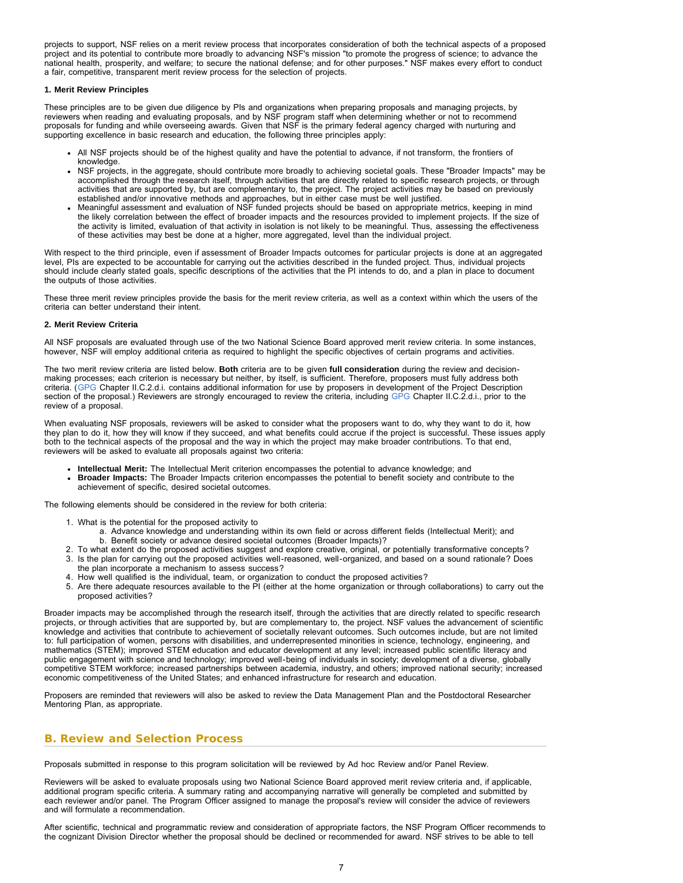projects to support, NSF relies on a merit review process that incorporates consideration of both the technical aspects of a proposed project and its potential to contribute more broadly to advancing NSF's mission "to promote the progress of science; to advance the national health, prosperity, and welfare; to secure the national defense; and for other purposes." NSF makes every effort to conduct a fair, competitive, transparent merit review process for the selection of projects.

#### **1. Merit Review Principles**

These principles are to be given due diligence by PIs and organizations when preparing proposals and managing projects, by reviewers when reading and evaluating proposals, and by NSF program staff when determining whether or not to recommend proposals for funding and while overseeing awards. Given that NSF is the primary federal agency charged with nurturing and supporting excellence in basic research and education, the following three principles apply:

- All NSF projects should be of the highest quality and have the potential to advance, if not transform, the frontiers of knowledge.
- NSF projects, in the aggregate, should contribute more broadly to achieving societal goals. These "Broader Impacts" may be accomplished through the research itself, through activities that are directly related to specific research projects, or through activities that are supported by, but are complementary to, the project. The project activities may be based on previously established and/or innovative methods and approaches, but in either case must be well justified.
- Meaningful assessment and evaluation of NSF funded projects should be based on appropriate metrics, keeping in mind the likely correlation between the effect of broader impacts and the resources provided to implement projects. If the size of the activity is limited, evaluation of that activity in isolation is not likely to be meaningful. Thus, assessing the effectiveness of these activities may best be done at a higher, more aggregated, level than the individual project.

With respect to the third principle, even if assessment of Broader Impacts outcomes for particular projects is done at an aggregated level, PIs are expected to be accountable for carrying out the activities described in the funded project. Thus, individual projects should include clearly stated goals, specific descriptions of the activities that the PI intends to do, and a plan in place to document the outputs of those activities.

These three merit review principles provide the basis for the merit review criteria, as well as a context within which the users of the criteria can better understand their intent.

#### **2. Merit Review Criteria**

All NSF proposals are evaluated through use of the two National Science Board approved merit review criteria. In some instances, however, NSF will employ additional criteria as required to highlight the specific objectives of certain programs and activities.

The two merit review criteria are listed below. **Both** criteria are to be given **full consideration** during the review and decisionmaking processes; each criterion is necessary but neither, by itself, is sufficient. Therefore, proposers must fully address both criteria. ([GPG](http://www.nsf.gov/publications/pub_summ.jsp?ods_key=gpg) Chapter II.C.2.d.i. contains additional information for use by proposers in development of the Project Description section of the proposal.) Reviewers are strongly encouraged to review the criteria, including [GPG](http://www.nsf.gov/publications/pub_summ.jsp?ods_key=gpg) Chapter II.C.2.d.i., prior to the review of a proposal.

When evaluating NSF proposals, reviewers will be asked to consider what the proposers want to do, why they want to do it, how they plan to do it, how they will know if they succeed, and what benefits could accrue if the project is successful. These issues apply both to the technical aspects of the proposal and the way in which the project may make broader contributions. To that end, reviewers will be asked to evaluate all proposals against two criteria:

- **Intellectual Merit:** The Intellectual Merit criterion encompasses the potential to advance knowledge; and
- **Broader Impacts:** The Broader Impacts criterion encompasses the potential to benefit society and contribute to the achievement of specific, desired societal outcomes.

The following elements should be considered in the review for both criteria:

- 1. What is the potential for the proposed activity to
	- a. Advance knowledge and understanding within its own field or across different fields (Intellectual Merit); and b. Benefit society or advance desired societal outcomes (Broader Impacts)?
- 2. To what extent do the proposed activities suggest and explore creative, original, or potentially transformative concepts? 3. Is the plan for carrying out the proposed activities well-reasoned, well-organized, and based on a sound rationale? Does
- the plan incorporate a mechanism to assess success?
- 4. How well qualified is the individual, team, or organization to conduct the proposed activities?
- 5. Are there adequate resources available to the PI (either at the home organization or through collaborations) to carry out the proposed activities?

Broader impacts may be accomplished through the research itself, through the activities that are directly related to specific research projects, or through activities that are supported by, but are complementary to, the project. NSF values the advancement of scientific knowledge and activities that contribute to achievement of societally relevant outcomes. Such outcomes include, but are not limited to: full participation of women, persons with disabilities, and underrepresented minorities in science, technology, engineering, and mathematics (STEM); improved STEM education and educator development at any level; increased public scientific literacy and public engagement with science and technology; improved well-being of individuals in society; development of a diverse, globally competitive STEM workforce; increased partnerships between academia, industry, and others; improved national security; increased economic competitiveness of the United States; and enhanced infrastructure for research and education.

Proposers are reminded that reviewers will also be asked to review the Data Management Plan and the Postdoctoral Researcher Mentoring Plan, as appropriate.

# <span id="page-6-0"></span>**B. Review and Selection Process**

Proposals submitted in response to this program solicitation will be reviewed by Ad hoc Review and/or Panel Review.

Reviewers will be asked to evaluate proposals using two National Science Board approved merit review criteria and, if applicable, additional program specific criteria. A summary rating and accompanying narrative will generally be completed and submitted by each reviewer and/or panel. The Program Officer assigned to manage the proposal's review will consider the advice of reviewers and will formulate a recommendation.

After scientific, technical and programmatic review and consideration of appropriate factors, the NSF Program Officer recommends to the cognizant Division Director whether the proposal should be declined or recommended for award. NSF strives to be able to tell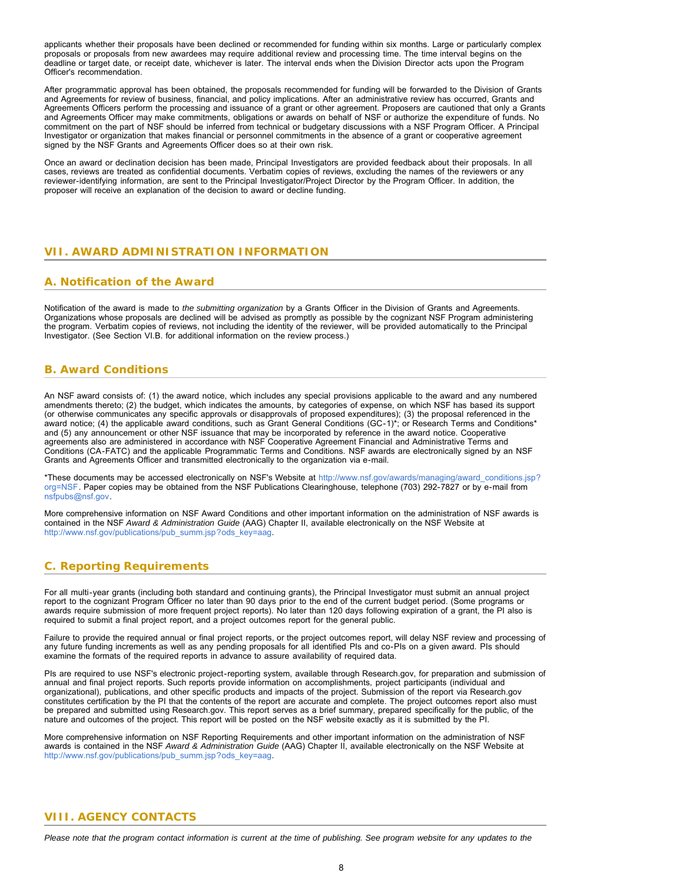applicants whether their proposals have been declined or recommended for funding within six months. Large or particularly complex proposals or proposals from new awardees may require additional review and processing time. The time interval begins on the deadline or target date, or receipt date, whichever is later. The interval ends when the Division Director acts upon the Program Officer's recommendation.

After programmatic approval has been obtained, the proposals recommended for funding will be forwarded to the Division of Grants and Agreements for review of business, financial, and policy implications. After an administrative review has occurred, Grants and Agreements Officers perform the processing and issuance of a grant or other agreement. Proposers are cautioned that only a Grants and Agreements Officer may make commitments, obligations or awards on behalf of NSF or authorize the expenditure of funds. No commitment on the part of NSF should be inferred from technical or budgetary discussions with a NSF Program Officer. A Principal Investigator or organization that makes financial or personnel commitments in the absence of a grant or cooperative agreement signed by the NSF Grants and Agreements Officer does so at their own risk.

Once an award or declination decision has been made, Principal Investigators are provided feedback about their proposals. In all cases, reviews are treated as confidential documents. Verbatim copies of reviews, excluding the names of the reviewers or any reviewer-identifying information, are sent to the Principal Investigator/Project Director by the Program Officer. In addition, the proposer will receive an explanation of the decision to award or decline funding.

### <span id="page-7-0"></span>**VII. AWARD ADMINISTRATION INFORMATION**

### <span id="page-7-1"></span>**A. Notification of the Award**

Notification of the award is made to *the submitting organization* by a Grants Officer in the Division of Grants and Agreements. Organizations whose proposals are declined will be advised as promptly as possible by the cognizant NSF Program administering the program. Verbatim copies of reviews, not including the identity of the reviewer, will be provided automatically to the Principal Investigator. (See Section VI.B. for additional information on the review process.)

# <span id="page-7-2"></span>**B. Award Conditions**

An NSF award consists of: (1) the award notice, which includes any special provisions applicable to the award and any numbered amendments thereto; (2) the budget, which indicates the amounts, by categories of expense, on which NSF has based its support (or otherwise communicates any specific approvals or disapprovals of proposed expenditures); (3) the proposal referenced in the award notice; (4) the applicable award conditions, such as Grant General Conditions (GC-1)\*; or Research Terms and Conditions\* and (5) any announcement or other NSF issuance that may be incorporated by reference in the award notice. Cooperative agreements also are administered in accordance with NSF Cooperative Agreement Financial and Administrative Terms and Conditions (CA-FATC) and the applicable Programmatic Terms and Conditions. NSF awards are electronically signed by an NSF Grants and Agreements Officer and transmitted electronically to the organization via e-mail.

\*These documents may be accessed electronically on NSF's Website at [http://www.nsf.gov/awards/managing/award\\_conditions.jsp?](http://www.nsf.gov/awards/managing/award_conditions.jsp?org=NSF) [org=NSF.](http://www.nsf.gov/awards/managing/award_conditions.jsp?org=NSF) Paper copies may be obtained from the NSF Publications Clearinghouse, telephone (703) 292-7827 or by e-mail from [nsfpubs@nsf.gov.](mailto:nsfpubs@nsf.gov)

More comprehensive information on NSF Award Conditions and other important information on the administration of NSF awards is contained in the NSF *Award & Administration Guide* (AAG) Chapter II, available electronically on the NSF Website at [http://www.nsf.gov/publications/pub\\_summ.jsp?ods\\_key=aag.](http://www.nsf.gov/publications/pub_summ.jsp?ods_key=aag)

# <span id="page-7-3"></span>**C. Reporting Requirements**

For all multi-year grants (including both standard and continuing grants), the Principal Investigator must submit an annual project report to the cognizant Program Officer no later than 90 days prior to the end of the current budget period. (Some programs or awards require submission of more frequent project reports). No later than 120 days following expiration of a grant, the PI also is required to submit a final project report, and a project outcomes report for the general public.

Failure to provide the required annual or final project reports, or the project outcomes report, will delay NSF review and processing of any future funding increments as well as any pending proposals for all identified PIs and co-PIs on a given award. PIs should examine the formats of the required reports in advance to assure availability of required data.

PIs are required to use NSF's electronic project-reporting system, available through Research.gov, for preparation and submission of annual and final project reports. Such reports provide information on accomplishments, project participants (individual and organizational), publications, and other specific products and impacts of the project. Submission of the report via Research.gov constitutes certification by the PI that the contents of the report are accurate and complete. The project outcomes report also must be prepared and submitted using Research.gov. This report serves as a brief summary, prepared specifically for the public, of the nature and outcomes of the project. This report will be posted on the NSF website exactly as it is submitted by the PI.

<span id="page-7-4"></span>More comprehensive information on NSF Reporting Requirements and other important information on the administration of NSF awards is contained in the NSF *Award & Administration Guide* (AAG) Chapter II, available electronically on the NSF Website at [http://www.nsf.gov/publications/pub\\_summ.jsp?ods\\_key=aag.](http://www.nsf.gov/publications/pub_summ.jsp?ods_key=aag)

### **VIII. AGENCY CONTACTS**

*Please note that the program contact information is current at the time of publishing. See program website for any updates to the*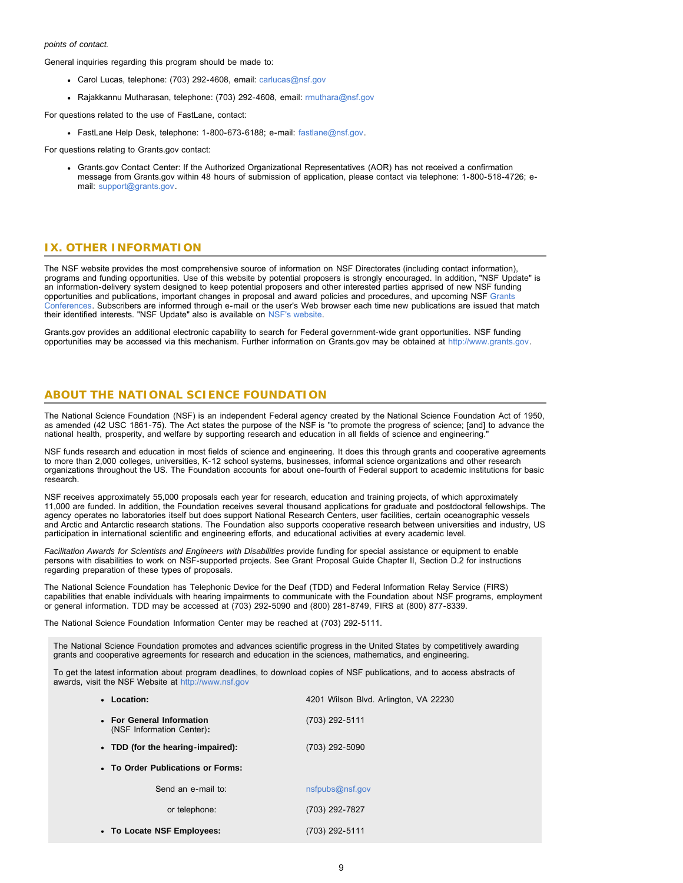#### *points of contact.*

General inquiries regarding this program should be made to:

- Carol Lucas, telephone: (703) 292-4608, email: [carlucas@nsf.gov](mailto:carlucas@nsf.gov)
- Rajakkannu Mutharasan, telephone: (703) 292-4608, email: [rmuthara@nsf.gov](mailto:rmuthara@nsf.gov)

For questions related to the use of FastLane, contact:

FastLane Help Desk, telephone: 1-800-673-6188; e-mail: [fastlane@nsf.gov.](mailto:fastlane@nsf.gov)

For questions relating to Grants.gov contact:

Grants.gov Contact Center: If the Authorized Organizational Representatives (AOR) has not received a confirmation message from Grants.gov within 48 hours of submission of application, please contact via telephone: 1-800-518-4726; email: [support@grants.gov.](mailto:support@grants.gov)

### <span id="page-8-0"></span>**IX. OTHER INFORMATION**

The NSF website provides the most comprehensive source of information on NSF Directorates (including contact information), programs and funding opportunities. Use of this website by potential proposers is strongly encouraged. In addition, "NSF Update" is an information-delivery system designed to keep potential proposers and other interested parties apprised of new NSF funding opportunities and publications, important changes in proposal and award policies and procedures, and upcoming NSF [Grants](http://www.nsf.gov/bfa/dias/policy/outreach.jsp) [Conferences.](http://www.nsf.gov/bfa/dias/policy/outreach.jsp) Subscribers are informed through e-mail or the user's Web browser each time new publications are issued that match their identified interests. "NSF Update" also is available on [NSF's website.](https://www.nsf.gov/cgi-bin/good-bye?https://public.govdelivery.com/accounts/USNSF/subscriber/new?topic_id=USNSF_179)

Grants.gov provides an additional electronic capability to search for Federal government-wide grant opportunities. NSF funding opportunities may be accessed via this mechanism. Further information on Grants.gov may be obtained at [http://www.grants.gov.](http://www.grants.gov/)

### **ABOUT THE NATIONAL SCIENCE FOUNDATION**

The National Science Foundation (NSF) is an independent Federal agency created by the National Science Foundation Act of 1950, as amended (42 USC 1861-75). The Act states the purpose of the NSF is "to promote the progress of science; [and] to advance the national health, prosperity, and welfare by supporting research and education in all fields of science and engineering."

NSF funds research and education in most fields of science and engineering. It does this through grants and cooperative agreements to more than 2,000 colleges, universities, K-12 school systems, businesses, informal science organizations and other research organizations throughout the US. The Foundation accounts for about one-fourth of Federal support to academic institutions for basic research.

NSF receives approximately 55,000 proposals each year for research, education and training projects, of which approximately 11,000 are funded. In addition, the Foundation receives several thousand applications for graduate and postdoctoral fellowships. The agency operates no laboratories itself but does support National Research Centers, user facilities, certain oceanographic vessels and Arctic and Antarctic research stations. The Foundation also supports cooperative research between universities and industry, US participation in international scientific and engineering efforts, and educational activities at every academic level.

*Facilitation Awards for Scientists and Engineers with Disabilities* provide funding for special assistance or equipment to enable persons with disabilities to work on NSF-supported projects. See Grant Proposal Guide Chapter II, Section D.2 for instructions regarding preparation of these types of proposals.

The National Science Foundation has Telephonic Device for the Deaf (TDD) and Federal Information Relay Service (FIRS) capabilities that enable individuals with hearing impairments to communicate with the Foundation about NSF programs, employment or general information. TDD may be accessed at (703) 292-5090 and (800) 281-8749, FIRS at (800) 877-8339.

The National Science Foundation Information Center may be reached at (703) 292-5111.

The National Science Foundation promotes and advances scientific progress in the United States by competitively awarding grants and cooperative agreements for research and education in the sciences, mathematics, and engineering.

To get the latest information about program deadlines, to download copies of NSF publications, and to access abstracts of awards, visit the NSF Website at [http://www.nsf.gov](http://www.nsf.gov/)

| • Location:                                            | 4201 Wilson Blvd. Arlington, VA 22230 |
|--------------------------------------------------------|---------------------------------------|
| • For General Information<br>(NSF Information Center): | (703) 292-5111                        |
| • TDD (for the hearing-impaired):                      | (703) 292-5090                        |
| • To Order Publications or Forms:                      |                                       |
| Send an e-mail to:                                     | nsfpubs@nsf.gov                       |
| or telephone:                                          | (703) 292-7827                        |
| • To Locate NSF Employees:                             | (703) 292-5111                        |